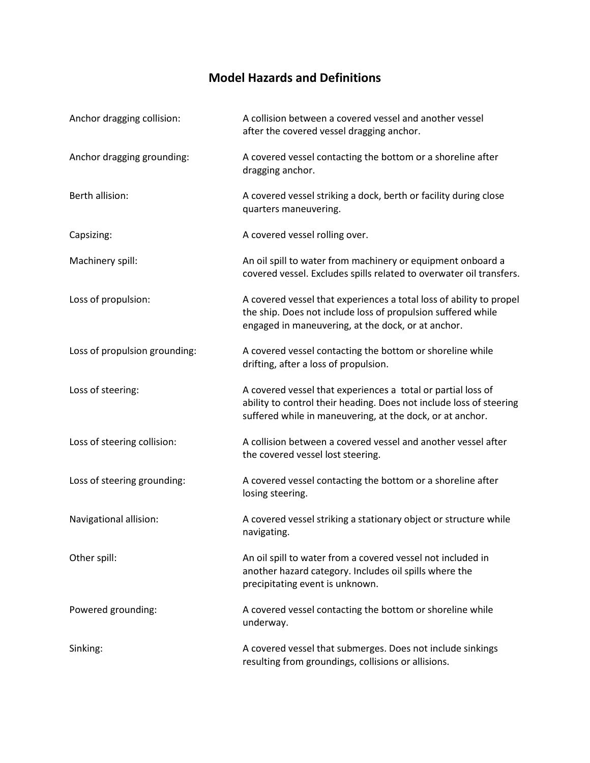## **Model Hazards and Definitions**

| Anchor dragging collision:    | A collision between a covered vessel and another vessel<br>after the covered vessel dragging anchor.                                                                                             |
|-------------------------------|--------------------------------------------------------------------------------------------------------------------------------------------------------------------------------------------------|
| Anchor dragging grounding:    | A covered vessel contacting the bottom or a shoreline after<br>dragging anchor.                                                                                                                  |
| Berth allision:               | A covered vessel striking a dock, berth or facility during close<br>quarters maneuvering.                                                                                                        |
| Capsizing:                    | A covered vessel rolling over.                                                                                                                                                                   |
| Machinery spill:              | An oil spill to water from machinery or equipment onboard a<br>covered vessel. Excludes spills related to overwater oil transfers.                                                               |
| Loss of propulsion:           | A covered vessel that experiences a total loss of ability to propel<br>the ship. Does not include loss of propulsion suffered while<br>engaged in maneuvering, at the dock, or at anchor.        |
| Loss of propulsion grounding: | A covered vessel contacting the bottom or shoreline while<br>drifting, after a loss of propulsion.                                                                                               |
| Loss of steering:             | A covered vessel that experiences a total or partial loss of<br>ability to control their heading. Does not include loss of steering<br>suffered while in maneuvering, at the dock, or at anchor. |
| Loss of steering collision:   | A collision between a covered vessel and another vessel after<br>the covered vessel lost steering.                                                                                               |
| Loss of steering grounding:   | A covered vessel contacting the bottom or a shoreline after<br>losing steering.                                                                                                                  |
| Navigational allision:        | A covered vessel striking a stationary object or structure while<br>navigating.                                                                                                                  |
| Other spill:                  | An oil spill to water from a covered vessel not included in<br>another hazard category. Includes oil spills where the<br>precipitating event is unknown.                                         |
| Powered grounding:            | A covered vessel contacting the bottom or shoreline while<br>underway.                                                                                                                           |
| Sinking:                      | A covered vessel that submerges. Does not include sinkings<br>resulting from groundings, collisions or allisions.                                                                                |